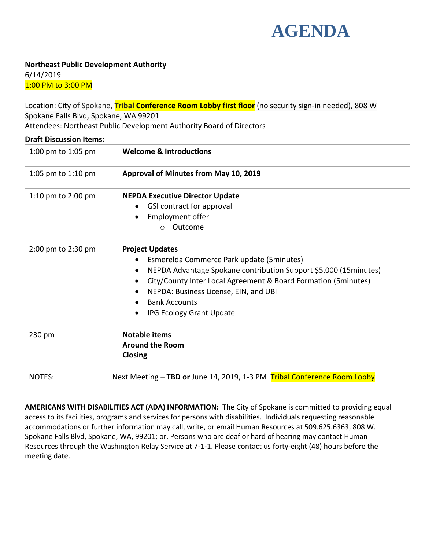

**Northeast Public Development Authority** 6/14/2019 1:00 PM to 3:00 PM

Location: City of Spokane, **Tribal Conference Room Lobby first floor** (no security sign-in needed), 808 W Spokane Falls Blvd, Spokane, WA 99201 Attendees: Northeast Public Development Authority Board of Directors

| <b>Draft Discussion Items:</b> |                                                                             |
|--------------------------------|-----------------------------------------------------------------------------|
| 1:00 pm to 1:05 pm             | <b>Welcome &amp; Introductions</b>                                          |
| 1:05 pm to 1:10 pm             | Approval of Minutes from May 10, 2019                                       |
| 1:10 pm to 2:00 pm             | <b>NEPDA Executive Director Update</b>                                      |
|                                | GSI contract for approval<br>$\bullet$                                      |
|                                | Employment offer<br>$\bullet$                                               |
|                                | Outcome<br>$\circ$                                                          |
| 2:00 pm to 2:30 pm             | <b>Project Updates</b>                                                      |
|                                | Esmerelda Commerce Park update (5 minutes)                                  |
|                                | NEPDA Advantage Spokane contribution Support \$5,000 (15 minutes)           |
|                                | City/County Inter Local Agreement & Board Formation (5minutes)<br>$\bullet$ |
|                                | NEPDA: Business License, EIN, and UBI<br>$\bullet$                          |
|                                | <b>Bank Accounts</b>                                                        |
|                                | IPG Ecology Grant Update                                                    |
| 230 pm                         | <b>Notable items</b>                                                        |
|                                | <b>Around the Room</b>                                                      |
|                                | <b>Closing</b>                                                              |
| <b>NOTES:</b>                  | Next Meeting - TBD or June 14, 2019, 1-3 PM Tribal Conference Room Lobby    |

**AMERICANS WITH DISABILITIES ACT (ADA) INFORMATION:** The City of Spokane is committed to providing equal access to its facilities, programs and services for persons with disabilities. Individuals requesting reasonable accommodations or further information may call, write, or email Human Resources at 509.625.6363, 808 W. Spokane Falls Blvd, Spokane, WA, 99201; or. Persons who are deaf or hard of hearing may contact Human Resources through the Washington Relay Service at 7-1-1. Please contact us forty-eight (48) hours before the meeting date.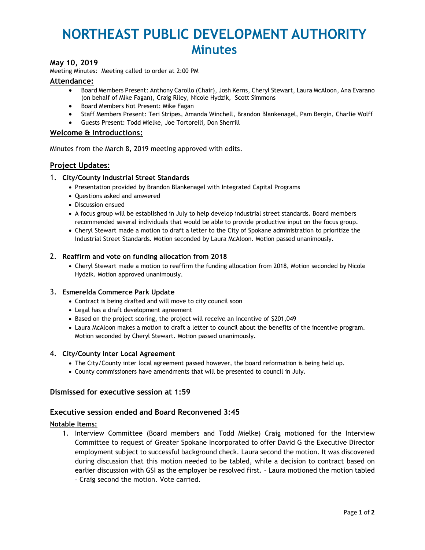# **NORTHEAST PUBLIC DEVELOPMENT AUTHORITY Minutes**

# **May 10, 2019**

Meeting Minutes: Meeting called to order at 2:00 PM

# **Attendance:**

- Board Members Present: Anthony Carollo (Chair), Josh Kerns, Cheryl Stewart, Laura McAloon, Ana Evarano (on behalf of Mike Fagan), Craig Riley, Nicole Hydzik, Scott Simmons
- Board Members Not Present: Mike Fagan
- Staff Members Present: Teri Stripes, Amanda Winchell, Brandon Blankenagel, Pam Bergin, Charlie Wolff
- Guests Present: Todd Mielke, Joe Tortorelli, Don Sherrill

## **Welcome & Introductions:**

Minutes from the March 8, 2019 meeting approved with edits.

# **Project Updates:**

#### 1. **City/County Industrial Street Standards**

- Presentation provided by Brandon Blankenagel with Integrated Capital Programs
- Questions asked and answered
- Discussion ensued
- A focus group will be established in July to help develop industrial street standards. Board members recommended several individuals that would be able to provide productive input on the focus group.
- Cheryl Stewart made a motion to draft a letter to the City of Spokane administration to prioritize the Industrial Street Standards. Motion seconded by Laura McAloon. Motion passed unanimously.

#### 2. **Reaffirm and vote on funding allocation from 2018**

 Cheryl Stewart made a motion to reaffirm the funding allocation from 2018, Motion seconded by Nicole Hydzik. Motion approved unanimously.

#### 3. **Esmerelda Commerce Park Update**

- Contract is being drafted and will move to city council soon
- Legal has a draft development agreement
- Based on the project scoring, the project will receive an incentive of \$201,049
- Laura McAloon makes a motion to draft a letter to council about the benefits of the incentive program. Motion seconded by Cheryl Stewart. Motion passed unanimously.

## 4. **City/County Inter Local Agreement**

- The City/County inter local agreement passed however, the board reformation is being held up.
- County commissioners have amendments that will be presented to council in July.

## **Dismissed for executive session at 1:59**

## **Executive session ended and Board Reconvened 3:45**

## **Notable Items:**

1. Interview Committee (Board members and Todd Mielke) Craig motioned for the Interview Committee to request of Greater Spokane Incorporated to offer David G the Executive Director employment subject to successful background check. Laura second the motion. It was discovered during discussion that this motion needed to be tabled, while a decision to contract based on earlier discussion with GSI as the employer be resolved first. – Laura motioned the motion tabled – Craig second the motion. Vote carried.